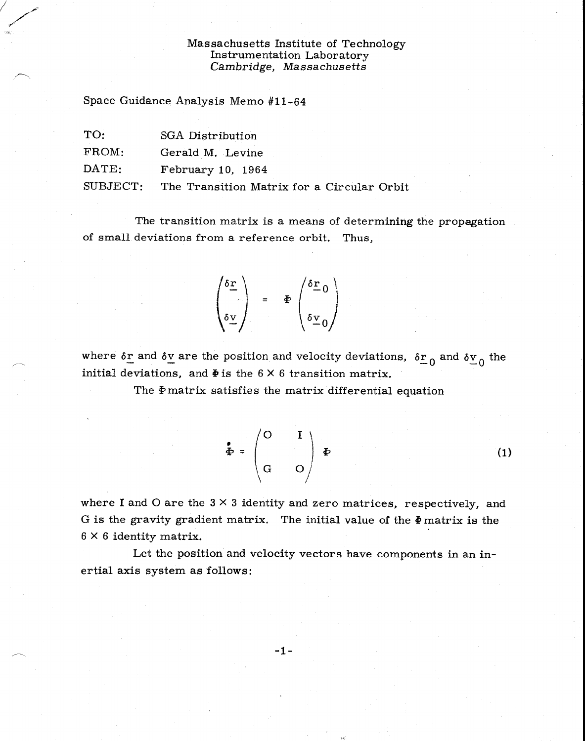## Massachusetts Institute of Technology Instrumentation Laboratory *Cambridge, Massachusetts*

Space Guidance Analysis Memo #11-64

| TO:            | SGA Distribution  |
|----------------|-------------------|
| FROM:          | Gerald M. Levine  |
| $\text{DATE:}$ | February 10, 1964 |
|                |                   |

SUBJECT: The Transition Matrix for a Circular Orbit

The transition matrix is a means of determining the propagation of small deviations from a reference orbit. Thus,

$$
\begin{pmatrix}\n\delta \underline{r} \\
\delta \underline{v} \\
\delta \underline{v}\n\end{pmatrix} = \Phi \begin{pmatrix}\n\delta \underline{r} & 0 \\
\delta \underline{v} & 0 \\
\delta \underline{v} & 0\n\end{pmatrix}
$$

where  $\delta$ <sub>r</sub> and  $\delta$ <sub>v</sub> are the position and velocity deviations,  $\delta$ <sub>r<sub>0</sub></sub> and  $\delta$ <sub>v<sub>0</sub></sub> the initial deviations, and  $\Phi$  is the 6  $\times$  6 transition matrix.

The  $\Phi$  matrix satisfies the matrix differential equation

$$
\Phi = \begin{pmatrix} 0 & I \\ 0 & I \end{pmatrix} \Phi
$$

 $(1)$ 

where I and O are the  $3 \times 3$  identity and zero matrices, respectively, and G is the gravity gradient matrix. The initial value of the  $\Phi$  matrix is the  $6 \times 6$  identity matrix.

Let the position and velocity vectors have components in an inertial axis system as follows:

 $-1-$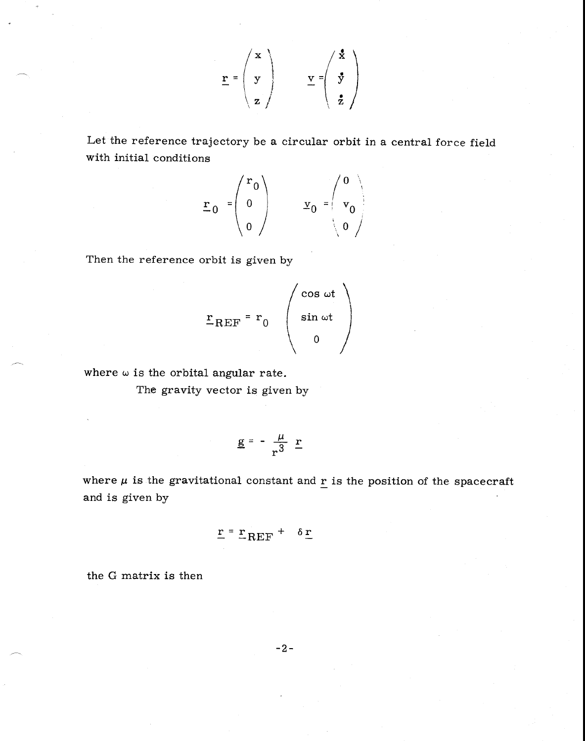$$
\underline{\mathbf{r}} = \begin{pmatrix} \mathbf{x} \\ \mathbf{y} \\ \mathbf{z} \end{pmatrix} \qquad \underline{\mathbf{v}} = \begin{pmatrix} \mathbf{x} \\ \mathbf{y} \\ \mathbf{z} \end{pmatrix}
$$

Let the reference trajectory be a circular orbit in a central force field with initial conditions

$$
\mathbf{r}_0 = \begin{pmatrix} r_0 \\ 0 \\ 0 \end{pmatrix} \qquad \mathbf{y}_0 = \begin{pmatrix} 0 \\ \mathbf{v}_0 \\ 0 \end{pmatrix}
$$

Then the reference orbit is given by

$$
\mathbf{r}_{REF} = \mathbf{r}_0 \begin{pmatrix} \cos \omega t \\ \sin \omega t \\ 0 \end{pmatrix}
$$

where  $\omega$  is the orbital angular rate.

The gravity vector is given by

$$
\underline{g} = -\frac{\mu}{r^3} \underline{r}
$$

where  $\mu$  is the gravitational constant and  $\underline{r}$  is the position of the spacecraft and is given by

$$
\underline{\mathbf{r}} = \underline{\mathbf{r}}_{REF} + \delta \underline{\mathbf{r}}
$$

the G matrix is then

-2-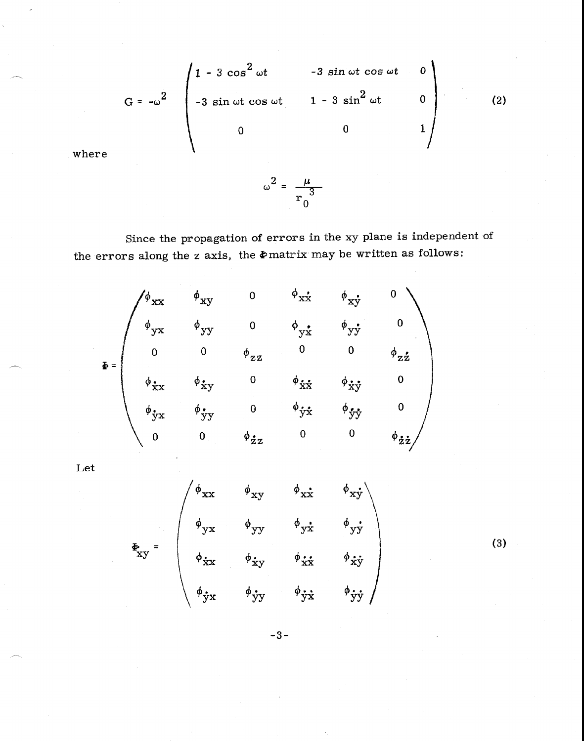$$
G = -\omega^{2} \begin{pmatrix} 1 - 3 \cos^{2} \omega t & -3 \sin \omega t \cos \omega t & 0 \\ -3 \sin \omega t \cos \omega t & 1 - 3 \sin^{2} \omega t & 0 \\ 0 & 0 & 1 \end{pmatrix}
$$
 (2)

where

Since the propagation of errors in the xy plane is independent of the errors along the z axis, the  $\Phi$  matrix may be written as follows:

 $\omega^2 = \frac{\mu}{r_0^3}$ 

$$
\Phi_{\mathbf{y}} \mathbf{y} = \begin{pmatrix}\n\phi_{\mathbf{x}} & \phi_{\mathbf{x}} & \phi_{\mathbf{x}} \\
\phi_{\mathbf{y}} & \phi_{\mathbf{y}} & \phi_{\mathbf{y}} & \phi_{\mathbf{x}} \\
\phi_{\mathbf{y}} & \phi_{\mathbf{y}} & \phi_{\mathbf{y}} & \phi_{\mathbf{y}} \\
\phi_{\mathbf{y}} & \phi_{\mathbf{y}} & \phi_{\mathbf{y}} \\
\phi_{\mathbf{y}} & \phi_{\mathbf{y}} & \phi_{\mathbf{y}} \\
\phi_{\mathbf{y}} & \phi_{\mathbf{y}} & \phi_{\mathbf{y}} & \phi_{\mathbf{y}} \\
\phi_{\mathbf{y}} & \phi_{\mathbf{y}} & \phi_{\mathbf{y}} & \phi_{\mathbf{y}} \\
\phi_{\mathbf{y}} & \phi_{\mathbf{y}} & \phi_{\mathbf{y}} & \phi_{\mathbf{y}} \\
\phi_{\mathbf{y}} & \phi_{\mathbf{y}} & \phi_{\mathbf{y}} & \phi_{\mathbf{y}} \\
\phi_{\mathbf{y}} & \phi_{\mathbf{y}} & \phi_{\mathbf{y}} & \phi_{\mathbf{y}} \\
\phi_{\mathbf{y}} & \phi_{\mathbf{y}} & \phi_{\mathbf{y}} & \phi_{\mathbf{y}} \\
\phi_{\mathbf{y}} & \phi_{\mathbf{y}} & \phi_{\mathbf{y}} & \phi_{\mathbf{y}} \\
\phi_{\mathbf{y}} & \phi_{\mathbf{y}} & \phi_{\mathbf{y}} & \phi_{\mathbf{y}} \\
\phi_{\mathbf{y}} & \phi_{\mathbf{y}} & \phi_{\mathbf{y}} & \phi_{\mathbf{y}} \\
\phi_{\mathbf{y}} & \phi_{\mathbf{y}} & \phi_{\mathbf{y}} & \phi_{\mathbf{y}} \\
\phi_{\mathbf{y}} & \phi_{\mathbf{y}} & \phi_{\mathbf{y}} & \phi_{\mathbf{y}} \\
\phi_{\mathbf{y}} & \phi_{\mathbf{y}} & \phi_{\mathbf{y}} & \phi_{\mathbf{y}} \\
\phi_{\mathbf{y}} & \phi_{\mathbf{y}} & \phi_{\mathbf{y}} & \phi_{\mathbf{y}} \\
\phi_{\mathbf{y}} & \phi_{\mathbf{y}} & \phi_{\mathbf{y}} & \phi_{\mathbf{y}} \\
\phi_{\mathbf{y}} & \
$$

Let

$$
\mathbf{\Phi}_{\mathbf{x}\mathbf{y}} = \begin{pmatrix}\n\phi_{\mathbf{x}\mathbf{x}} & \phi_{\mathbf{x}\mathbf{y}} & \phi_{\mathbf{x}\mathbf{x}} & \phi_{\mathbf{x}\mathbf{y}} \\
\phi_{\mathbf{y}\mathbf{x}} & \phi_{\mathbf{y}\mathbf{y}} & \phi_{\mathbf{y}\mathbf{x}} & \phi_{\mathbf{y}\mathbf{y}} \\
\phi_{\mathbf{x}\mathbf{x}} & \phi_{\mathbf{x}\mathbf{y}} & \phi_{\mathbf{x}\mathbf{x}} & \phi_{\mathbf{x}\mathbf{y}} \\
\phi_{\mathbf{y}\mathbf{x}} & \phi_{\mathbf{y}\mathbf{y}} & \phi_{\mathbf{y}\mathbf{x}} & \phi_{\mathbf{y}\mathbf{y}}\n\end{pmatrix}
$$

 $(3)$ 

 $-3-$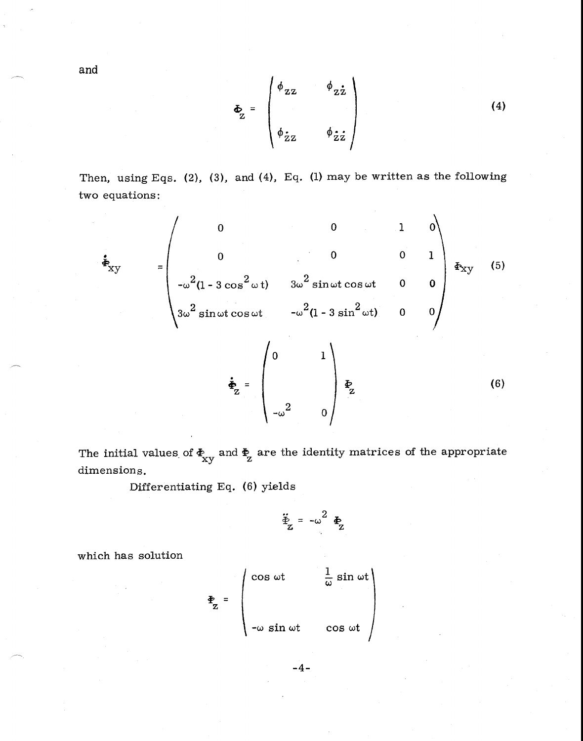$$
\Phi_{z} = \begin{pmatrix} \phi_{zz} & \phi_{z\dot{z}} \\ \phi_{\dot{z}z} & \phi_{\dot{z}\dot{z}} \end{pmatrix}
$$
 (4)

Then, using Eqs. (2), (3), and (4), Eq. (1) may be written as the following two equations:

$$
\dot{\mathbf{F}}_{XY} = \begin{pmatrix}\n0 & 0 & 1 & 0 \\
0 & 0 & 0 & 1 \\
-\omega^2(1 - 3\cos^2\omega t) & 3\omega^2\sin\omega t\cos\omega t & 0 & 0 \\
3\omega^2\sin\omega t\cos\omega t & -\omega^2(1 - 3\sin^2\omega t) & 0 & 0\n\end{pmatrix} \mathbf{F}_{XY} \quad (5)
$$
\n
$$
\dot{\mathbf{F}}_{XY} = \begin{pmatrix}\n0 & 1 \\
-\omega^2 & 0\n\end{pmatrix} \mathbf{F}_{Z} \quad (6)
$$

The initial values of  $\mathbf{\Phi}_{\mathrm{xy}}$  and  $\mathbf{\Phi}_{\mathrm{z}}$  are the identity matrices of the appropriate dimensions.

Differentiating Eq. (6) yields

$$
\ddot{\Phi}_{z} = -\omega^2 \Phi_z
$$

which has solution

$$
\mathbf{\Phi}_{Z} = \begin{pmatrix} \cos \omega t & \frac{1}{\omega} \sin \omega t \\ \\ -\omega \sin \omega t & \cos \omega t \end{pmatrix}
$$

 $-4-$ 

and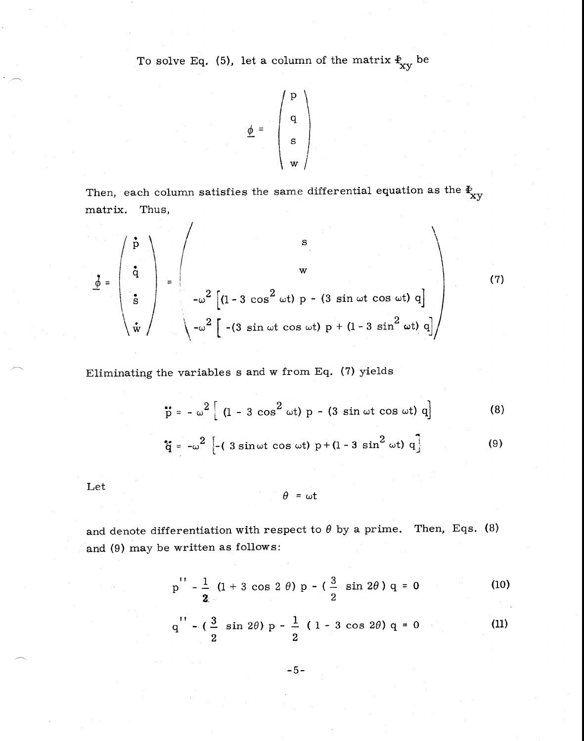To solve Eq. (5), let a column of the matrix  $\frac{F}{xy}$  be

$$
\underline{\phi} = \begin{pmatrix} \mathbf{p} \\ \mathbf{q} \\ \mathbf{s} \\ \mathbf{w} \end{pmatrix}
$$

Then, each column satisfies the same differential equation as the  $\frac{\Phi}{\mathbf{x} \mathbf{y}}$ matrix. Thus,

$$
\underline{\vec{\phi}} = \begin{pmatrix} \dot{\vec{p}} \\ \dot{\vec{q}} \\ \dot{\vec{s}} \\ \dot{\vec{w}} \end{pmatrix} = \begin{pmatrix} \dot{s} \\ \dot{w} \\ -\omega^2 \left[ (1 - 3 \cos^2 \omega t) p - (3 \sin \omega t \cos \omega t) q \right] \\ -\omega^2 \left[ -(3 \sin \omega t \cos \omega t) p + (1 - 3 \sin^2 \omega t) q \right] \end{pmatrix}
$$
(7)

Eliminating the variables s and w from Eq. (7) yields

 $\overline{I}$ 

$$
\ddot{p} = -\omega^2 \left[ (1 - 3 \cos^2 \omega t) p - (3 \sin \omega t \cos \omega t) q \right]
$$
 (8)

$$
\dot{\tilde{q}} = -\omega^2 \left[ -(3 \sin \omega t \cos \omega t) p + (1 - 3 \sin^2 \omega t) q \right]
$$
 (9)

Let

$$
\theta = \omega t
$$

and denote differentiation with respect to  $\theta$  by a prime. Then, Eqs. (8) and (9) may be written as follows:

$$
p'' - \frac{1}{2} (1 + 3 \cos 2 \theta) p - (\frac{3}{2} \sin 2\theta) q = 0
$$
 (10)

$$
q'' - (\frac{3}{2} \sin 2\theta) p - \frac{1}{2} (1 - 3 \cos 2\theta) q = 0
$$
 (11)

-5-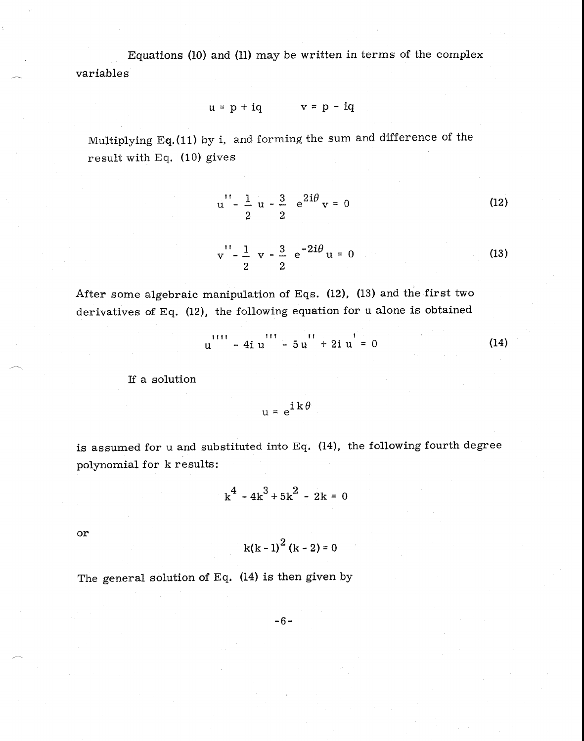Equations (10) and (11) may be written in terms of the complex variables

$$
u = p + iq \qquad v = p - iq
$$

Multiplying Eq.(11) by i, and forming the sum and difference of the result with Eq. (10) gives

$$
u'' - \frac{1}{2} u - \frac{3}{2} e^{2i\theta} v = 0
$$
 (12)

$$
v'' - \frac{1}{2} v - \frac{3}{2} e^{-2i\theta} u = 0
$$
 (13)

After some algebraic manipulation of Eqs. (12), (13) and the first two derivatives of Eq. (12), the following equation for u alone is obtained

$$
u'' - 4iu'' - 5u'' + 2iu' = 0
$$
 (14)

If a solution

$$
u = e^{i k \theta}
$$

is assumed for u and substituted into Eq. (14), the following fourth degree polynomial for k results:

$$
k^4 - 4k^3 + 5k^2 - 2k = 0
$$

or

$$
k(k-1)^2(k-2)=0
$$

The general solution of Eq. (14) is then given by

-6-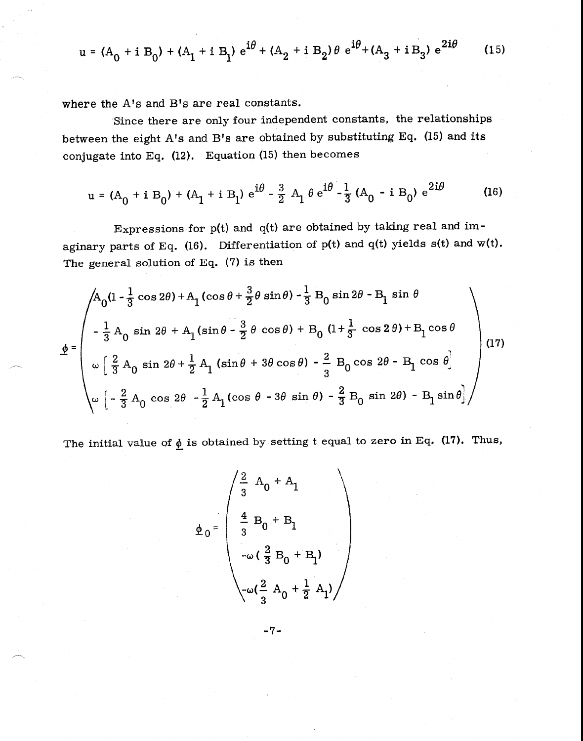$$
u = (A_0 + i B_0) + (A_1 + i B_1) e^{i\theta} + (A_2 + i B_2) \theta e^{i\theta} + (A_3 + i B_3) e^{2i\theta}
$$
 (15)

where the A's and B's are real constants.

Since there are only four independent constants, the relationships between the eight A's and B's are obtained by substituting Eq. (15) and its conjugate into Eq.  $(12)$ . Equation  $(15)$  then becomes

$$
u = (A_0 + i B_0) + (A_1 + i B_1) e^{i\theta} - \frac{3}{2} A_1 \theta e^{i\theta} - \frac{1}{3} (A_0 - i B_0) e^{2i\theta}
$$
 (16)

Expressions for  $p(t)$  and  $q(t)$  are obtained by taking real and imaginary parts of Eq. (16). Differentiation of  $p(t)$  and  $q(t)$  yields  $s(t)$  and  $w(t)$ . The general solution of Eq.  $(7)$  is then

$$
\underline{\phi} = \begin{pmatrix} A_0 (1 - \frac{1}{3} \cos 2\theta) + A_1 (\cos \theta + \frac{3}{2} \theta \sin \theta) - \frac{1}{3} B_0 \sin 2\theta - B_1 \sin \theta \\ - \frac{1}{3} A_0 \sin 2\theta + A_1 (\sin \theta - \frac{3}{2} \theta \cos \theta) + B_0 (1 + \frac{1}{3} \cos 2\theta) + B_1 \cos \theta \\ \omega \left[ \frac{2}{3} A_0 \sin 2\theta + \frac{1}{2} A_1 (\sin \theta + 3\theta \cos \theta) - \frac{2}{3} B_0 \cos 2\theta - B_1 \cos \theta \right] \\ \omega \left[ - \frac{2}{3} A_0 \cos 2\theta - \frac{1}{2} A_1 (\cos \theta - 3\theta \sin \theta) - \frac{2}{3} B_0 \sin 2\theta \right] - B_1 \sin \theta \end{pmatrix}
$$
(17)

The initial value of  $\phi$  is obtained by setting t equal to zero in Eq. (17). Thus,

$$
\underline{\phi}_0 = \begin{pmatrix} \frac{2}{3} & A_0 + A_1 \\ \frac{4}{3} & B_0 + B_1 \\ -\omega(\frac{2}{3}B_0 + B_1) \\ -\omega(\frac{2}{3}A_0 + \frac{1}{2}A_1) \end{pmatrix}
$$

 $-7-$